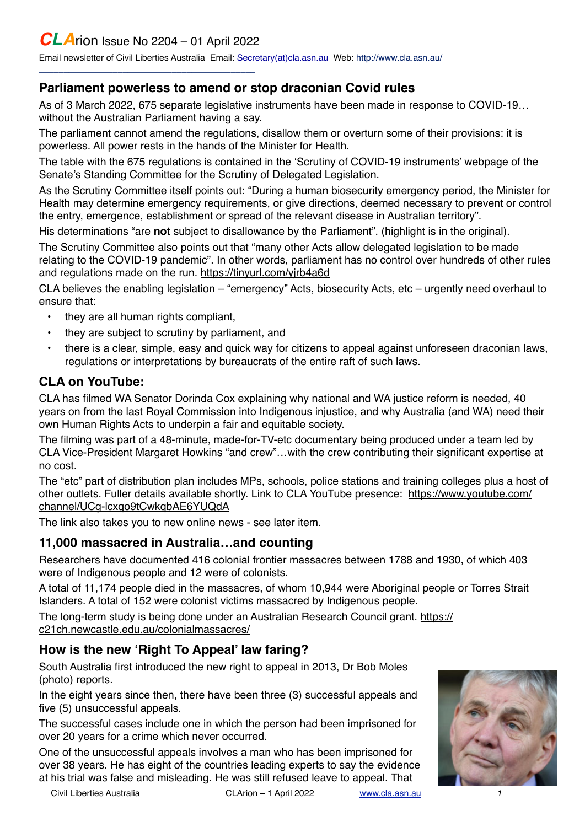# *CLA*rion Issue No 2204 – 01 April 2022

\_\_\_\_\_\_\_\_\_\_\_\_\_\_\_\_\_\_\_\_\_\_\_\_\_\_\_\_\_\_\_\_\_\_\_\_\_\_\_\_\_\_\_\_

Email newsletter of Civil Liberties Australia Email: [Secretary\(at\)cla.asn.au](mailto:secretary@cla.asn.au?subject=email%20subject) Web: [http://www.cla.asn.au/](http://www.cla.asn.au)

#### **Parliament powerless to amend or stop draconian Covid rules**

As of 3 March 2022, 675 separate legislative instruments have been made in response to COVID-19… without the Australian Parliament having a say.

The parliament cannot amend the regulations, disallow them or overturn some of their provisions: it is powerless. All power rests in the hands of the Minister for Health.

The table with the 675 regulations is contained in the 'Scrutiny of COVID-19 instruments' webpage of the Senate's Standing Committee for the Scrutiny of Delegated Legislation.

As the Scrutiny Committee itself points out: "During a human biosecurity emergency period, the Minister for Health may determine emergency requirements, or give directions, deemed necessary to prevent or control the entry, emergence, establishment or spread of the relevant disease in Australian territory".

His determinations "are **not** subject to disallowance by the Parliament". (highlight is in the original).

The Scrutiny Committee also points out that "many other Acts allow delegated legislation to be made relating to the COVID-19 pandemic". In other words, parliament has no control over hundreds of other rules and regulations made on the run.<https://tinyurl.com/yjrb4a6d>

CLA believes the enabling legislation – "emergency" Acts, biosecurity Acts, etc – urgently need overhaul to ensure that:

- they are all human rights compliant,
- they are subject to scrutiny by parliament, and
- there is a clear, simple, easy and quick way for citizens to appeal against unforeseen draconian laws, regulations or interpretations by bureaucrats of the entire raft of such laws.

#### **CLA on YouTube:**

CLA has filmed WA Senator Dorinda Cox explaining why national and WA justice reform is needed, 40 years on from the last Royal Commission into Indigenous injustice, and why Australia (and WA) need their own Human Rights Acts to underpin a fair and equitable society.

The filming was part of a 48-minute, made-for-TV-etc documentary being produced under a team led by CLA Vice-President Margaret Howkins "and crew"…with the crew contributing their significant expertise at no cost.

The "etc" part of distribution plan includes MPs, schools, police stations and training colleges plus a host of other outlets. Fuller details available shortly. Link to CLA YouTube presence: [https://www.youtube.com/](https://www.youtube.com/channel/UCg-lcxqo9tCwkqbAE6YUQdA) [channel/UCg-lcxqo9tCwkqbAE6YUQdA](https://www.youtube.com/channel/UCg-lcxqo9tCwkqbAE6YUQdA)

The link also takes you to new online news - see later item.

#### **11,000 massacred in Australia…and counting**

Researchers have documented 416 colonial frontier massacres between 1788 and 1930, of which 403 were of Indigenous people and 12 were of colonists.

A total of 11,174 people died in the massacres, of whom 10,944 were Aboriginal people or Torres Strait Islanders. A total of 152 were colonist victims massacred by Indigenous people.

The long-term study is being done under an Australian Research Council grant. [https://](https://c21ch.newcastle.edu.au/colonialmassacres/) [c21ch.newcastle.edu.au/colonialmassacres/](https://c21ch.newcastle.edu.au/colonialmassacres/)

#### **How is the new 'Right To Appeal' law faring?**

South Australia first introduced the new right to appeal in 2013, Dr Bob Moles (photo) reports.

In the eight years since then, there have been three (3) successful appeals and five (5) unsuccessful appeals.

The successful cases include one in which the person had been imprisoned for over 20 years for a crime which never occurred.

One of the unsuccessful appeals involves a man who has been imprisoned for over 38 years. He has eight of the countries leading experts to say the evidence at his trial was false and misleading. He was still refused leave to appeal. That

Civil Liberties Australia CLArion – 1 April 2022 [www.cla.asn.au](http://www.cla.asn.au) *1*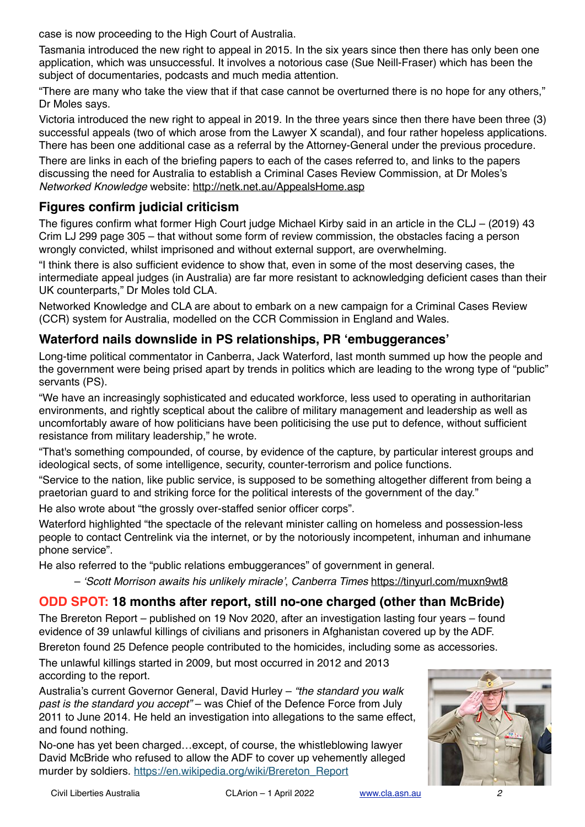case is now proceeding to the High Court of Australia.

Tasmania introduced the new right to appeal in 2015. In the six years since then there has only been one application, which was unsuccessful. It involves a notorious case (Sue Neill-Fraser) which has been the subject of documentaries, podcasts and much media attention.

"There are many who take the view that if that case cannot be overturned there is no hope for any others," Dr Moles says.

Victoria introduced the new right to appeal in 2019. In the three years since then there have been three (3) successful appeals (two of which arose from the Lawyer X scandal), and four rather hopeless applications. There has been one additional case as a referral by the Attorney-General under the previous procedure.

There are links in each of the briefing papers to each of the cases referred to, and links to the papers discussing the need for Australia to establish a Criminal Cases Review Commission, at Dr Moles's *Networked Knowledge* website:<http://netk.net.au/AppealsHome.asp>

#### **Figures confirm judicial criticism**

The figures confirm what former High Court judge Michael Kirby said in an article in the CLJ – (2019) 43 Crim LJ 299 page 305 – that without some form of review commission, the obstacles facing a person wrongly convicted, whilst imprisoned and without external support, are overwhelming.

"I think there is also sufficient evidence to show that, even in some of the most deserving cases, the intermediate appeal judges (in Australia) are far more resistant to acknowledging deficient cases than their UK counterparts," Dr Moles told CLA.

Networked Knowledge and CLA are about to embark on a new campaign for a Criminal Cases Review (CCR) system for Australia, modelled on the CCR Commission in England and Wales.

#### **Waterford nails downslide in PS relationships, PR 'embuggerances'**

Long-time political commentator in Canberra, Jack Waterford, last month summed up how the people and the government were being prised apart by trends in politics which are leading to the wrong type of "public" servants (PS).

"We have an increasingly sophisticated and educated workforce, less used to operating in authoritarian environments, and rightly sceptical about the calibre of military management and leadership as well as uncomfortably aware of how politicians have been politicising the use put to defence, without sufficient resistance from military leadership," he wrote.

"That's something compounded, of course, by evidence of the capture, by particular interest groups and ideological sects, of some intelligence, security, counter-terrorism and police functions.

"Service to the nation, like public service, is supposed to be something altogether different from being a praetorian guard to and striking force for the political interests of the government of the day."

He also wrote about "the grossly over-staffed senior officer corps".

Waterford highlighted "the spectacle of the relevant minister calling on homeless and possession-less people to contact Centrelink via the internet, or by the notoriously incompetent, inhuman and inhumane phone service".

He also referred to the "public relations embuggerances" of government in general.

– *'Scott Morrison awaits his unlikely miracle'*, *Canberra Times* <https://tinyurl.com/muxn9wt8>

#### **ODD SPOT: 18 months after report, still no-one charged (other than McBride)**

The Brereton Report – published on 19 Nov 2020, after an investigation lasting four years – found evidence of 39 unlawful killings of civilians and prisoners in Afghanistan covered up by the ADF. Brereton found 25 Defence people contributed to the homicides, including some as accessories.

The unlawful killings started in 2009, but most occurred in 2012 and 2013 according to the report.

Australia's current Governor General, David Hurley – *"the standard you walk past is the standard you accept"* – was Chief of the Defence Force from July 2011 to June 2014. He held an investigation into allegations to the same effect, and found nothing.

No-one has yet been charged…except, of course, the whistleblowing lawyer David McBride who refused to allow the ADF to cover up vehemently alleged murder by soldiers. [https://en.wikipedia.org/wiki/Brereton\\_Report](https://en.wikipedia.org/wiki/Brereton_Report)

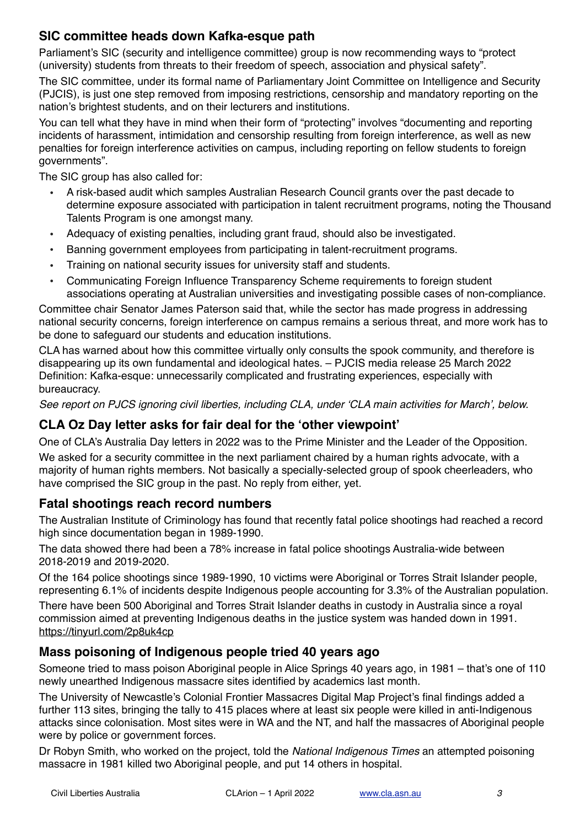### **SIC committee heads down Kafka-esque path**

Parliament's SIC (security and intelligence committee) group is now recommending ways to "protect (university) students from threats to their freedom of speech, association and physical safety".

The SIC committee, under its formal name of Parliamentary Joint Committee on Intelligence and Security (PJCIS), is just one step removed from imposing restrictions, censorship and mandatory reporting on the nation's brightest students, and on their lecturers and institutions.

You can tell what they have in mind when their form of "protecting" involves "documenting and reporting incidents of harassment, intimidation and censorship resulting from foreign interference, as well as new penalties for foreign interference activities on campus, including reporting on fellow students to foreign governments".

The SIC group has also called for:

- A risk-based audit which samples Australian Research Council grants over the past decade to determine exposure associated with participation in talent recruitment programs, noting the Thousand Talents Program is one amongst many.
- Adequacy of existing penalties, including grant fraud, should also be investigated.
- Banning government employees from participating in talent-recruitment programs.
- Training on national security issues for university staff and students.
- Communicating Foreign Influence Transparency Scheme requirements to foreign student associations operating at Australian universities and investigating possible cases of non-compliance.

Committee chair Senator James Paterson said that, while the sector has made progress in addressing national security concerns, foreign interference on campus remains a serious threat, and more work has to be done to safeguard our students and education institutions.

CLA has warned about how this committee virtually only consults the spook community, and therefore is disappearing up its own fundamental and ideological hates. – PJCIS media release 25 March 2022 Definition: Kafka-esque: unnecessarily complicated and frustrating experiences, especially with bureaucracy.

*See report on PJCS ignoring civil liberties, including CLA, under 'CLA main activities for March', below.*

### **CLA Oz Day letter asks for fair deal for the 'other viewpoint'**

have comprised the SIC group in the past. No reply from either, yet.

One of CLA's Australia Day letters in 2022 was to the Prime Minister and the Leader of the Opposition. We asked for a security committee in the next parliament chaired by a human rights advocate, with a majority of human rights members. Not basically a specially-selected group of spook cheerleaders, who

### **Fatal shootings reach record numbers**

The Australian Institute of Criminology has found that recently fatal police shootings had reached a record high since documentation began in 1989-1990.

The data showed there had been a 78% increase in fatal police shootings Australia-wide between 2018-2019 and 2019-2020.

Of the 164 police shootings since 1989-1990, 10 victims were Aboriginal or Torres Strait Islander people, representing 6.1% of incidents despite Indigenous people accounting for 3.3% of the Australian population.

There have been 500 Aboriginal and Torres Strait Islander deaths in custody in Australia since a royal commission aimed at preventing Indigenous deaths in the justice system was handed down in 1991. <https://tinyurl.com/2p8uk4cp>

### **Mass poisoning of Indigenous people tried 40 years ago**

Someone tried to mass poison Aboriginal people in Alice Springs 40 years ago, in 1981 – that's one of 110 newly unearthed Indigenous massacre sites identified by academics last month.

The University of Newcastle's Colonial Frontier Massacres Digital Map Project's final findings added a further 113 sites, bringing the tally to 415 places where at least six people were killed in anti-Indigenous attacks since colonisation. Most sites were in WA and the NT, and half the massacres of Aboriginal people were by police or government forces.

Dr Robyn Smith, who worked on the project, told the *National Indigenous Times* an attempted poisoning massacre in 1981 killed two Aboriginal people, and put 14 others in hospital.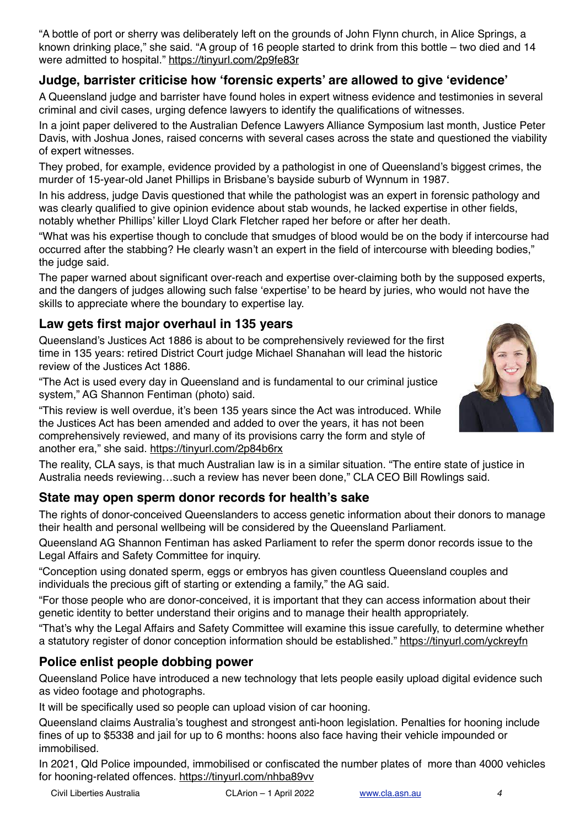"A bottle of port or sherry was deliberately left on the grounds of John Flynn church, in Alice Springs, a known drinking place," she said. "A group of 16 people started to drink from this bottle – two died and 14 were admitted to hospital." <https://tinyurl.com/2p9fe83r>

## **Judge, barrister criticise how 'forensic experts' are allowed to give 'evidence'**

A Queensland judge and barrister have found holes in expert witness evidence and testimonies in several criminal and civil cases, urging defence lawyers to identify the qualifications of witnesses.

In a joint paper delivered to the Australian Defence Lawyers Alliance Symposium last month, Justice Peter Davis, with Joshua Jones, raised concerns with several cases across the state and questioned the viability of expert witnesses.

They probed, for example, evidence provided by a pathologist in one of Queensland's biggest crimes, the murder of 15-year-old Janet Phillips in Brisbane's bayside suburb of Wynnum in 1987.

In his address, judge Davis questioned that while the pathologist was an expert in forensic pathology and was clearly qualified to give opinion evidence about stab wounds, he lacked expertise in other fields, notably whether Phillips' killer Lloyd Clark Fletcher raped her before or after her death.

"What was his expertise though to conclude that smudges of blood would be on the body if intercourse had occurred after the stabbing? He clearly wasn't an expert in the field of intercourse with bleeding bodies," the judge said.

The paper warned about significant over-reach and expertise over-claiming both by the supposed experts, and the dangers of judges allowing such false 'expertise' to be heard by juries, who would not have the skills to appreciate where the boundary to expertise lay.

#### **Law gets first major overhaul in 135 years**

Queensland's Justices Act 1886 is about to be comprehensively reviewed for the first time in 135 years: retired District Court judge Michael Shanahan will lead the historic review of the Justices Act 1886.

"The Act is used every day in Queensland and is fundamental to our criminal justice system," AG Shannon Fentiman (photo) said.

"This review is well overdue, it's been 135 years since the Act was introduced. While the Justices Act has been amended and added to over the years, it has not been comprehensively reviewed, and many of its provisions carry the form and style of another era," she said. <https://tinyurl.com/2p84b6rx>

The reality, CLA says, is that much Australian law is in a similar situation. "The entire state of justice in Australia needs reviewing…such a review has never been done," CLA CEO Bill Rowlings said.

### **State may open sperm donor records for health's sake**

The rights of donor-conceived Queenslanders to access genetic information about their donors to manage their health and personal wellbeing will be considered by the Queensland Parliament.

Queensland AG Shannon Fentiman has asked Parliament to refer the sperm donor records issue to the Legal Affairs and Safety Committee for inquiry.

"Conception using donated sperm, eggs or embryos has given countless Queensland couples and individuals the precious gift of starting or extending a family," the AG said.

"For those people who are donor-conceived, it is important that they can access information about their genetic identity to better understand their origins and to manage their health appropriately.

"That's why the Legal Affairs and Safety Committee will examine this issue carefully, to determine whether a statutory register of donor conception information should be established."<https://tinyurl.com/yckreyfn>

### **Police enlist people dobbing power**

Queensland Police have introduced a new technology that lets people easily upload digital evidence such as video footage and photographs.

It will be specifically used so people can upload vision of car hooning.

Queensland claims Australia's toughest and strongest anti-hoon legislation. Penalties for hooning include fines of up to \$5338 and jail for up to 6 months: hoons also face having their vehicle impounded or immobilised.

In 2021, Qld Police impounded, immobilised or confiscated the number plates of more than 4000 vehicles for hooning-related offences. <https://tinyurl.com/nhba89vv>

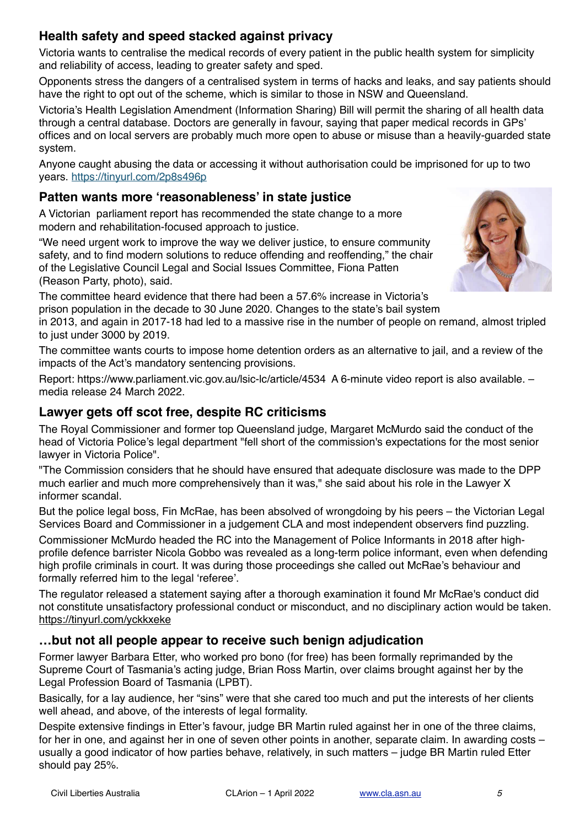## **Health safety and speed stacked against privacy**

Victoria wants to centralise the medical records of every patient in the public health system for simplicity and reliability of access, leading to greater safety and sped.

Opponents stress the dangers of a centralised system in terms of hacks and leaks, and say patients should have the right to opt out of the scheme, which is similar to those in NSW and Queensland.

Victoria's Health Legislation Amendment (Information Sharing) Bill will permit the sharing of all health data through a central database. Doctors are generally in favour, saying that paper medical records in GPs' offices and on local servers are probably much more open to abuse or misuse than a heavily-guarded state system.

Anyone caught abusing the data or accessing it without authorisation could be imprisoned for up to two years. <https://tinyurl.com/2p8s496p>

## **Patten wants more 'reasonableness' in state justice**

A Victorian parliament report has recommended the state change to a more modern and rehabilitation-focused approach to justice.

"We need urgent work to improve the way we deliver justice, to ensure community safety, and to find modern solutions to reduce offending and reoffending," the chair of the Legislative Council Legal and Social Issues Committee, Fiona Patten (Reason Party, photo), said.

The committee heard evidence that there had been a 57.6% increase in Victoria's prison population in the decade to 30 June 2020. Changes to the state's bail system

in 2013, and again in 2017-18 had led to a massive rise in the number of people on remand, almost tripled to just under 3000 by 2019.

The committee wants courts to impose home detention orders as an alternative to jail, and a review of the impacts of the Act's mandatory sentencing provisions.

Report: <https://www.parliament.vic.gov.au/lsic-lc/article/4534>A 6-minute video report is also available. – media release 24 March 2022.

## **Lawyer gets off scot free, despite RC criticisms**

The Royal Commissioner and former top Queensland judge, Margaret McMurdo said the conduct of the head of Victoria Police's legal department "fell short of the commission's expectations for the most senior lawyer in Victoria Police".

"The Commission considers that he should have ensured that adequate disclosure was made to the DPP much earlier and much more comprehensively than it was," she said about his role in the Lawyer X informer scandal.

But the police legal boss, Fin McRae, has been absolved of wrongdoing by his peers – the Victorian Legal Services Board and Commissioner in a judgement CLA and most independent observers find puzzling.

Commissioner McMurdo headed the RC into the Management of Police Informants in 2018 after highprofile defence barrister Nicola Gobbo was revealed as a long-term police informant, even when defending high profile criminals in court. It was during those proceedings she called out McRae's behaviour and formally referred him to the legal 'referee'.

The regulator released a statement saying after a thorough examination it found Mr McRae's conduct did not constitute unsatisfactory professional conduct or misconduct, and no disciplinary action would be taken. <https://tinyurl.com/yckkxeke>

## **…but not all people appear to receive such benign adjudication**

Former lawyer Barbara Etter, who worked pro bono (for free) has been formally reprimanded by the Supreme Court of Tasmania's acting judge, Brian Ross Martin, over claims brought against her by the Legal Profession Board of Tasmania (LPBT).

Basically, for a lay audience, her "sins" were that she cared too much and put the interests of her clients well ahead, and above, of the interests of legal formality.

Despite extensive findings in Etter's favour, judge BR Martin ruled against her in one of the three claims, for her in one, and against her in one of seven other points in another, separate claim. In awarding costs – usually a good indicator of how parties behave, relatively, in such matters – judge BR Martin ruled Etter should pay 25%.

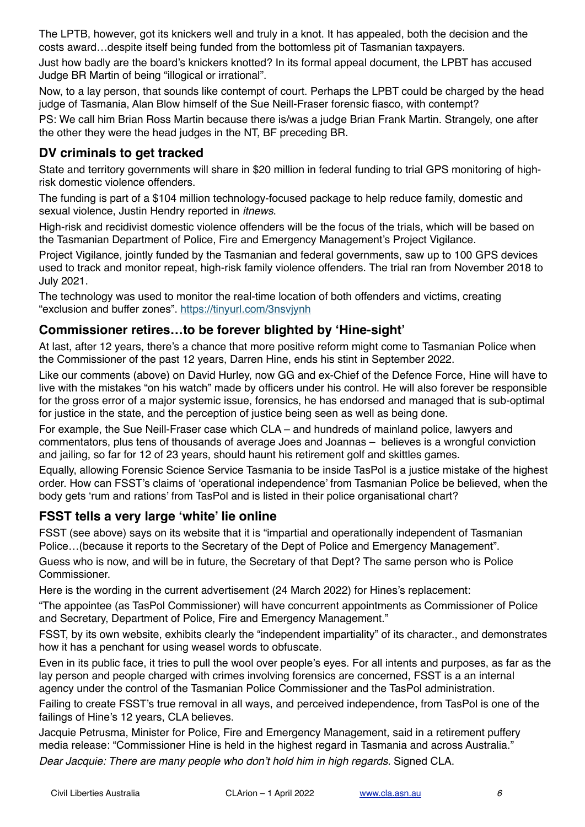The LPTB, however, got its knickers well and truly in a knot. It has appealed, both the decision and the costs award…despite itself being funded from the bottomless pit of Tasmanian taxpayers.

Just how badly are the board's knickers knotted? In its formal appeal document, the LPBT has accused Judge BR Martin of being "illogical or irrational".

Now, to a lay person, that sounds like contempt of court. Perhaps the LPBT could be charged by the head judge of Tasmania, Alan Blow himself of the Sue Neill-Fraser forensic fiasco, with contempt?

PS: We call him Brian Ross Martin because there is/was a judge Brian Frank Martin. Strangely, one after the other they were the head judges in the NT, BF preceding BR.

### **DV criminals to get tracked**

State and territory governments will share in \$20 million in federal funding to trial GPS monitoring of highrisk domestic violence offenders.

The funding is part of a \$104 million technology-focused package to help reduce family, domestic and sexual violence, Justin Hendry reported in *itnews*.

High-risk and recidivist domestic violence offenders will be the focus of the trials, which will be based on the Tasmanian Department of Police, Fire and Emergency Management's Project Vigilance.

Project Vigilance, jointly funded by the Tasmanian and federal governments, saw up to 100 GPS devices used to track and monitor repeat, high-risk family violence offenders. The trial ran from November 2018 to July 2021.

The technology was used to monitor the real-time location of both offenders and victims, creating "exclusion and buffer zones". <https://tinyurl.com/3nsvjynh>

#### **Commissioner retires…to be forever blighted by 'Hine-sight'**

At last, after 12 years, there's a chance that more positive reform might come to Tasmanian Police when the Commissioner of the past 12 years, Darren Hine, ends his stint in September 2022.

Like our comments (above) on David Hurley, now GG and ex-Chief of the Defence Force, Hine will have to live with the mistakes "on his watch" made by officers under his control. He will also forever be responsible for the gross error of a major systemic issue, forensics, he has endorsed and managed that is sub-optimal for justice in the state, and the perception of justice being seen as well as being done.

For example, the Sue Neill-Fraser case which CLA – and hundreds of mainland police, lawyers and commentators, plus tens of thousands of average Joes and Joannas – believes is a wrongful conviction and jailing, so far for 12 of 23 years, should haunt his retirement golf and skittles games.

Equally, allowing Forensic Science Service Tasmania to be inside TasPol is a justice mistake of the highest order. How can FSST's claims of 'operational independence' from Tasmanian Police be believed, when the body gets 'rum and rations' from TasPol and is listed in their police organisational chart?

#### **FSST tells a very large 'white' lie online**

FSST (see above) says on its website that it is "impartial and operationally independent of Tasmanian Police…(because it reports to the Secretary of the Dept of Police and Emergency Management".

Guess who is now, and will be in future, the Secretary of that Dept? The same person who is Police Commissioner.

Here is the wording in the current advertisement (24 March 2022) for Hines's replacement:

"The appointee (as TasPol Commissioner) will have concurrent appointments as Commissioner of Police and Secretary, Department of Police, Fire and Emergency Management."

FSST, by its own website, exhibits clearly the "independent impartiality" of its character., and demonstrates how it has a penchant for using weasel words to obfuscate.

Even in its public face, it tries to pull the wool over people's eyes. For all intents and purposes, as far as the lay person and people charged with crimes involving forensics are concerned, FSST is a an internal agency under the control of the Tasmanian Police Commissioner and the TasPol administration.

Failing to create FSST's true removal in all ways, and perceived independence, from TasPol is one of the failings of Hine's 12 years, CLA believes.

Jacquie Petrusma, Minister for Police, Fire and Emergency Management, said in a retirement puffery media release: "Commissioner Hine is held in the highest regard in Tasmania and across Australia."

*Dear Jacquie: There are many people who don't hold him in high regards.* Signed CLA.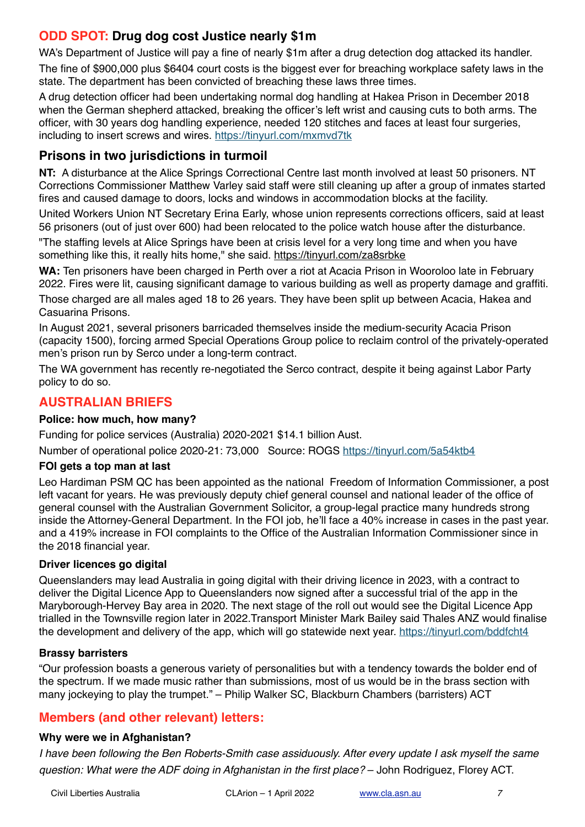## **ODD SPOT: Drug dog cost Justice nearly \$1m**

WA's Department of Justice will pay a fine of nearly \$1m after a drug detection dog attacked its handler. The fine of \$900,000 plus \$6404 court costs is the biggest ever for breaching workplace safety laws in the state. The department has been convicted of breaching these laws three times.

A drug detection officer had been undertaking normal dog handling at Hakea Prison in December 2018 when the German shepherd attacked, breaking the officer's left wrist and causing cuts to both arms. The officer, with 30 years dog handling experience, needed 120 stitches and faces at least four surgeries, including to insert screws and wires. <https://tinyurl.com/mxmvd7tk>

#### **Prisons in two jurisdictions in turmoil**

**NT:** A disturbance at the Alice Springs Correctional Centre last month involved at least 50 prisoners. NT Corrections Commissioner Matthew Varley said staff were still cleaning up after a group of inmates started fires and caused damage to doors, locks and windows in accommodation blocks at the facility.

United Workers Union NT Secretary Erina Early, whose union represents corrections officers, said at least 56 prisoners (out of just over 600) had been relocated to the police watch house after the disturbance.

"The staffing levels at Alice Springs have been at crisis level for a very long time and when you have something like this, it really hits home," she said. <https://tinyurl.com/za8srbke>

**WA:** Ten prisoners have been charged in Perth over a riot at Acacia Prison in Wooroloo late in February 2022. Fires were lit, causing significant damage to various building as well as property damage and graffiti.

Those charged are all males aged 18 to 26 years. They have been split up between Acacia, Hakea and Casuarina Prisons.

In August 2021, several prisoners barricaded themselves inside the medium-security Acacia Prison (capacity 1500), forcing armed Special Operations Group police to reclaim control of the privately-operated men's prison run by Serco under a long-term contract.

The WA government has recently re-negotiated the Serco contract, despite it being against Labor Party policy to do so.

### **AUSTRALIAN BRIEFS**

#### **Police: how much, how many?**

Funding for police services (Australia) 2020-2021 \$14.1 billion Aust.

Number of operational police 2020-21: 73,000 Source: ROGS<https://tinyurl.com/5a54ktb4>

#### **FOI gets a top man at last**

Leo Hardiman PSM QC has been appointed as the national Freedom of Information Commissioner, a post left vacant for years. He was previously deputy chief general counsel and national leader of the office of general counsel with the Australian Government Solicitor, a group-legal practice many hundreds strong inside the Attorney-General Department. In the FOI job, he'll face a 40% increase in cases in the past year. and a 419% increase in FOI complaints to the Office of the Australian Information Commissioner since in the 2018 financial year.

#### **Driver licences go digital**

Queenslanders may lead Australia in going digital with their driving licence in 2023, with a contract to deliver the Digital Licence App to Queenslanders now signed after a successful trial of the app in the Maryborough-Hervey Bay area in 2020. The next stage of the roll out would see the Digital Licence App trialled in the Townsville region later in 2022.Transport Minister Mark Bailey said Thales ANZ would finalise the development and delivery of the app, which will go statewide next year. <https://tinyurl.com/bddfcht4>

#### **Brassy barristers**

"Our profession boasts a generous variety of personalities but with a tendency towards the bolder end of the spectrum. If we made music rather than submissions, most of us would be in the brass section with many jockeying to play the trumpet." – Philip Walker SC, Blackburn Chambers (barristers) ACT

### **Members (and other relevant) letters:**

#### **Why were we in Afghanistan?**

*I have been following the Ben Roberts-Smith case assiduously. After every update I ask myself the same question: What were the ADF doing in Afghanistan in the first place?* – John Rodriguez, Florey ACT.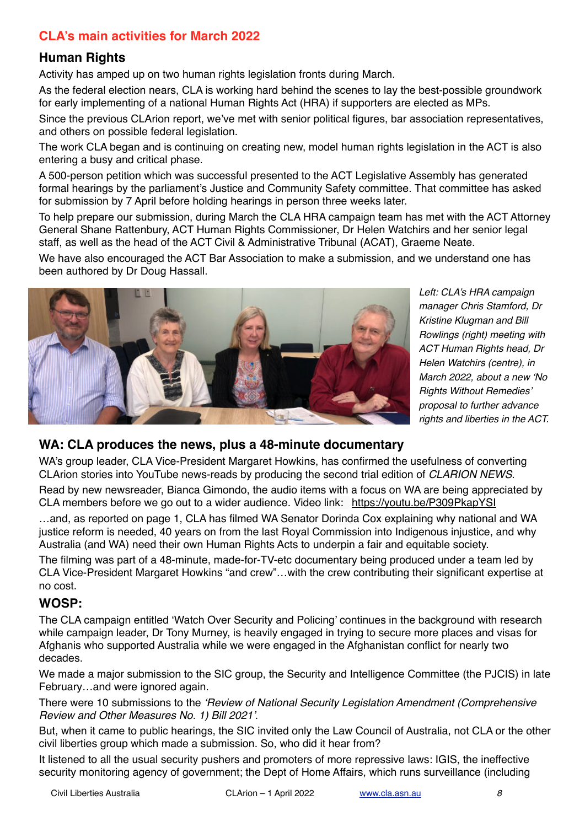## **CLA's main activities for March 2022**

### **Human Rights**

Activity has amped up on two human rights legislation fronts during March.

As the federal election nears, CLA is working hard behind the scenes to lay the best-possible groundwork for early implementing of a national Human Rights Act (HRA) if supporters are elected as MPs.

Since the previous CLArion report, we've met with senior political figures, bar association representatives, and others on possible federal legislation.

The work CLA began and is continuing on creating new, model human rights legislation in the ACT is also entering a busy and critical phase.

A 500-person petition which was successful presented to the ACT Legislative Assembly has generated formal hearings by the parliament's Justice and Community Safety committee. That committee has asked for submission by 7 April before holding hearings in person three weeks later.

To help prepare our submission, during March the CLA HRA campaign team has met with the ACT Attorney General Shane Rattenbury, ACT Human Rights Commissioner, Dr Helen Watchirs and her senior legal staff, as well as the head of the ACT Civil & Administrative Tribunal (ACAT), Graeme Neate.

We have also encouraged the ACT Bar Association to make a submission, and we understand one has been authored by Dr Doug Hassall.



*Left: CLA's HRA campaign manager Chris Stamford, Dr Kristine Klugman and Bill Rowlings (right) meeting with ACT Human Rights head, Dr Helen Watchirs (centre), in March 2022, about a new 'No Rights Without Remedies' proposal to further advance rights and liberties in the ACT.*

#### **WA: CLA produces the news, plus a 48-minute documentary**

WA's group leader, CLA Vice-President Margaret Howkins, has confirmed the usefulness of converting CLArion stories into YouTube news-reads by producing the second trial edition of *CLARION NEWS*.

Read by new newsreader, Bianca Gimondo, the audio items with a focus on WA are being appreciated by CLA members before we go out to a wider audience. Video link: <https://youtu.be/P309PkapYSI>

…and, as reported on page 1, CLA has filmed WA Senator Dorinda Cox explaining why national and WA justice reform is needed, 40 years on from the last Royal Commission into Indigenous injustice, and why Australia (and WA) need their own Human Rights Acts to underpin a fair and equitable society.

The filming was part of a 48-minute, made-for-TV-etc documentary being produced under a team led by CLA Vice-President Margaret Howkins "and crew"…with the crew contributing their significant expertise at no cost.

#### **WOSP:**

The CLA campaign entitled 'Watch Over Security and Policing' continues in the background with research while campaign leader, Dr Tony Murney, is heavily engaged in trying to secure more places and visas for Afghanis who supported Australia while we were engaged in the Afghanistan conflict for nearly two decades.

We made a major submission to the SIC group, the Security and Intelligence Committee (the PJCIS) in late February…and were ignored again.

There were 10 submissions to the *'Review of National Security Legislation Amendment (Comprehensive Review and Other Measures No. 1) Bill 2021'*.

But, when it came to public hearings, the SIC invited only the Law Council of Australia, not CLA or the other civil liberties group which made a submission. So, who did it hear from?

It listened to all the usual security pushers and promoters of more repressive laws: IGIS, the ineffective security monitoring agency of government; the Dept of Home Affairs, which runs surveillance (including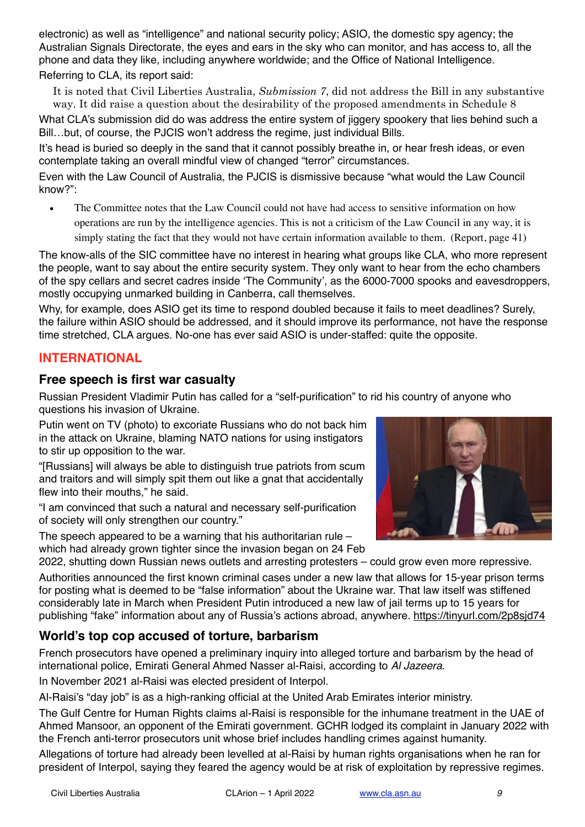electronic) as well as "intelligence" and national security policy; ASIO, the domestic spy agency; the Australian Signals Directorate, the eyes and ears in the sky who can monitor, and has access to, all the phone and data they like, including anywhere worldwide; and the Office of National Intelligence.

#### Referring to CLA, its report said:

It is noted that Civil Liberties Australia, *Submission 7*, did not address the Bill in any substantive way. It did raise a question about the desirability of the proposed amendments in Schedule 8

What CLA's submission did do was address the entire system of jiggery spookery that lies behind such a Bill…but, of course, the PJCIS won't address the regime, just individual Bills.

It's head is buried so deeply in the sand that it cannot possibly breathe in, or hear fresh ideas, or even contemplate taking an overall mindful view of changed "terror" circumstances.

Even with the Law Council of Australia, the PJCIS is dismissive because "what would the Law Council know?":

The Committee notes that the Law Council could not have had access to sensitive information on how operations are run by the intelligence agencies. This is not a criticism of the Law Council in any way, it is simply stating the fact that they would not have certain information available to them. (Report, page 41)

The know-alls of the SIC committee have no interest in hearing what groups like CLA, who more represent the people, want to say about the entire security system. They only want to hear from the echo chambers of the spy cellars and secret cadres inside 'The Community', as the 6000-7000 spooks and eavesdroppers, mostly occupying unmarked building in Canberra, call themselves.

Why, for example, does ASIO get its time to respond doubled because it fails to meet deadlines? Surely, the failure within ASIO should be addressed, and it should improve its performance, not have the response time stretched, CLA argues. No-one has ever said ASIO is under-staffed: quite the opposite.

#### **INTERNATIONAL**

#### **Free speech is first war casualty**

Russian President Vladimir Putin has called for a "self-purification" to rid his country of anyone who questions his invasion of Ukraine.

Putin went on TV (photo) to excoriate Russians who do not back him in the attack on Ukraine, blaming NATO nations for using instigators to stir up opposition to the war.

"[Russians] will always be able to distinguish true patriots from scum and traitors and will simply spit them out like a gnat that accidentally flew into their mouths," he said.

"I am convinced that such a natural and necessary self-purification of society will only strengthen our country."

The speech appeared to be a warning that his authoritarian rule – which had already grown tighter since the invasion began on 24 Feb

2022, shutting down Russian news outlets and arresting protesters – could grow even more repressive.

Authorities announced the first known criminal cases under a new law that allows for 15-year prison terms for posting what is deemed to be "false information" about the Ukraine war. That law itself was stiffened considerably late in March when President Putin introduced a new law of jail terms up to 15 years for publishing "fake" information about any of Russia's actions abroad, anywhere.<https://tinyurl.com/2p8sjd74>

### **World's top cop accused of torture, barbarism**

French prosecutors have opened a preliminary inquiry into alleged torture and barbarism by the head of international police, Emirati General Ahmed Nasser al-Raisi, according to *Al Jazeera*.

In November 2021 al-Raisi was elected president of Interpol.

Al-Raisi's "day job" is as a high-ranking official at the United Arab Emirates interior ministry.

The Gulf Centre for Human Rights claims al-Raisi is responsible for the inhumane treatment in the UAE of Ahmed Mansoor, an opponent of the Emirati government. GCHR lodged its complaint in January 2022 with the French anti-terror prosecutors unit whose brief includes handling crimes against humanity.

Allegations of torture had already been levelled at al-Raisi by human rights organisations when he ran for president of Interpol, saying they feared the agency would be at risk of exploitation by repressive regimes.

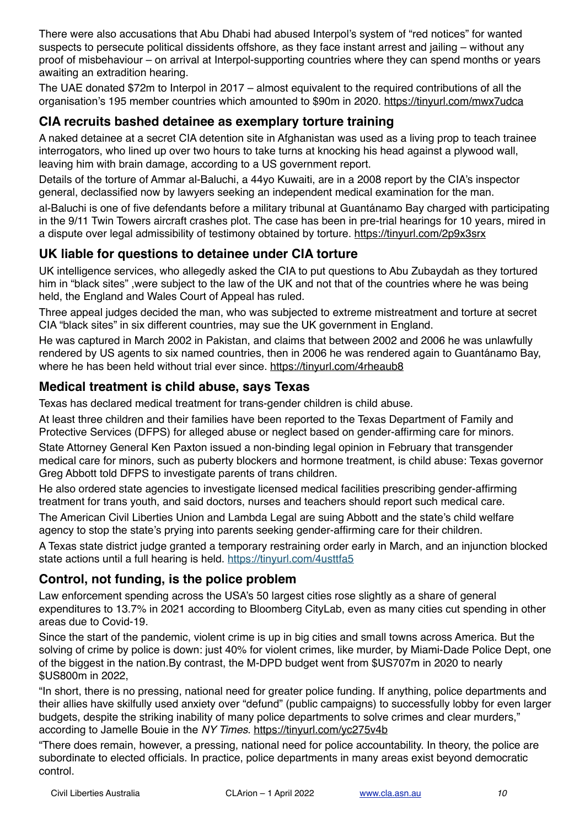There were also accusations that Abu Dhabi had abused Interpol's system of "red notices" for wanted suspects to persecute political dissidents offshore, as they face instant arrest and jailing – without any proof of misbehaviour – on arrival at Interpol-supporting countries where they can spend months or years awaiting an extradition hearing.

The UAE donated \$72m to Interpol in 2017 – almost equivalent to the required contributions of all the organisation's 195 member countries which amounted to \$90m in 2020.<https://tinyurl.com/mwx7udca>

#### **CIA recruits bashed detainee as exemplary torture training**

A naked detainee at a secret CIA detention site in Afghanistan was used as a living prop to teach trainee interrogators, who lined up over two hours to take turns at knocking his head against a plywood wall, leaving him with brain damage, according to a US government report.

Details of the torture of Ammar al-Baluchi, a 44yo Kuwaiti, are in a 2008 report by the CIA's inspector general, declassified now by lawyers seeking an independent medical examination for the man.

al-Baluchi is one of five defendants before a military tribunal at Guantánamo Bay charged with participating in the 9/11 Twin Towers aircraft crashes plot. The case has been in pre-trial hearings for 10 years, mired in a dispute over legal admissibility of testimony obtained by torture. <https://tinyurl.com/2p9x3srx>

### **UK liable for questions to detainee under CIA torture**

UK intelligence services, who allegedly asked the CIA to put questions to Abu Zubaydah as they tortured him in "black sites" ,were subject to the law of the UK and not that of the countries where he was being held, the England and Wales Court of Appeal has ruled.

Three appeal judges decided the man, who was subjected to extreme mistreatment and torture at secret CIA "black sites" in six different countries, may sue the UK government in England.

He was captured in March 2002 in Pakistan, and claims that between 2002 and 2006 he was unlawfully rendered by US agents to six named countries, then in 2006 he was rendered again to Guantánamo Bay, where he has been held without trial ever since.<https://tinyurl.com/4rheaub8>

#### **Medical treatment is child abuse, says Texas**

Texas has declared medical treatment for trans-gender children is child abuse.

At least three children and their families have been reported to the Texas Department of Family and Protective Services (DFPS) for alleged abuse or neglect based on gender-affirming care for minors.

State Attorney General Ken Paxton issued a non-binding legal opinion in February that transgender medical care for minors, such as puberty blockers and hormone treatment, is child abuse: Texas governor Greg Abbott told DFPS to investigate parents of trans children.

He also ordered state agencies to investigate licensed medical facilities prescribing gender-affirming treatment for trans youth, and said doctors, nurses and teachers should report such medical care.

The American Civil Liberties Union and Lambda Legal are suing Abbott and the state's child welfare agency to stop the state's prying into parents seeking gender-affirming care for their children.

A Texas state district judge granted a temporary restraining order early in March, and an injunction blocked state actions until a full hearing is held. <https://tinyurl.com/4usttfa5>

### **Control, not funding, is the police problem**

Law enforcement spending across the USA's 50 largest cities rose slightly as a share of general expenditures to 13.7% in 2021 according to Bloomberg CityLab, even as many cities cut spending in other areas due to Covid-19.

Since the start of the pandemic, violent crime is up in big cities and small towns across America. But the solving of crime by police is down: just 40% for violent crimes, like murder, by Miami-Dade Police Dept, one of the biggest in the nation.By contrast, the M-DPD budget went from \$US707m in 2020 to nearly \$US800m in 2022,

"In short, there is no pressing, national need for greater police funding. If anything, police departments and their allies have skilfully used anxiety over "defund" (public campaigns) to successfully lobby for even larger budgets, despite the striking inability of many police departments to solve crimes and clear murders," according to Jamelle Bouie in the *NY Times*.<https://tinyurl.com/yc275v4b>

"There does remain, however, a pressing, national need for police accountability. In theory, the police are subordinate to elected officials. In practice, police departments in many areas exist beyond democratic control.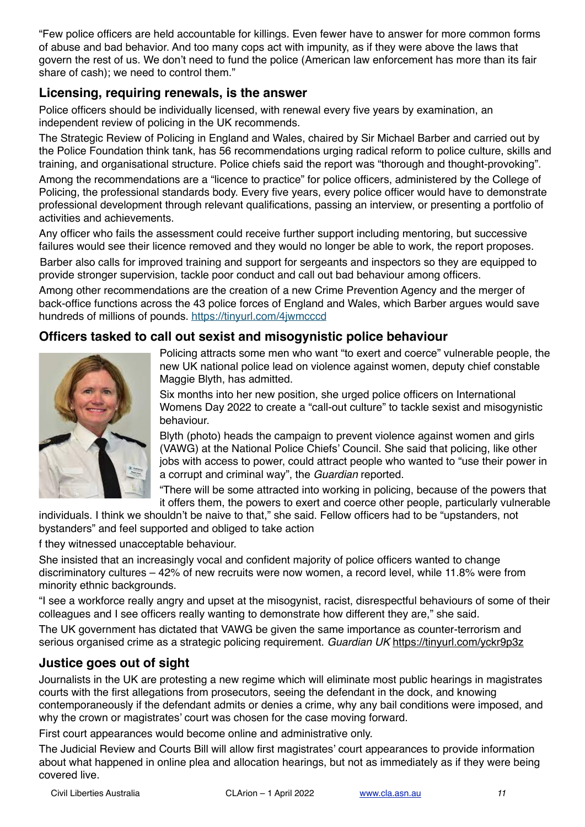"Few police officers are held accountable for killings. Even fewer have to answer for more common forms of abuse and bad behavior. And too many cops act with impunity, as if they were above the laws that govern the rest of us. We don't need to fund the police (American law enforcement has more than its fair share of cash); we need to control them."

### **Licensing, requiring renewals, is the answer**

Police officers should be individually licensed, with renewal every five years by examination, an independent review of policing in the UK recommends.

The Strategic Review of Policing in England and Wales, chaired by Sir Michael Barber and carried out by the Police Foundation think tank, has 56 recommendations urging radical reform to police culture, skills and training, and organisational structure. Police chiefs said the report was "thorough and thought-provoking".

Among the recommendations are a "licence to practice" for police officers, administered by the College of Policing, the professional standards body. Every five years, every police officer would have to demonstrate professional development through relevant qualifications, passing an interview, or presenting a portfolio of activities and achievements.

Any officer who fails the assessment could receive further support including mentoring, but successive failures would see their licence removed and they would no longer be able to work, the report proposes.

Barber also calls for improved training and support for sergeants and inspectors so they are equipped to provide stronger supervision, tackle poor conduct and call out bad behaviour among officers.

Among other recommendations are the creation of a new Crime Prevention Agency and the merger of back-office functions across the 43 police forces of England and Wales, which Barber argues would save hundreds of millions of pounds.<https://tinyurl.com/4jwmcccd>

#### **Officers tasked to call out sexist and misogynistic police behaviour**



Policing attracts some men who want "to exert and coerce" vulnerable people, the new UK national police lead on violence against women, deputy chief constable Maggie Blyth, has admitted.

Six months into her new position, she urged police officers on International Womens Day 2022 to create a "call-out culture" to tackle sexist and misogynistic behaviour.

Blyth (photo) heads the campaign to prevent violence against women and girls (VAWG) at the National Police Chiefs' Council. She said that policing, like other jobs with access to power, could attract people who wanted to "use their power in a corrupt and criminal way", the *Guardian* reported.

"There will be some attracted into working in policing, because of the powers that it offers them, the powers to exert and coerce other people, particularly vulnerable

individuals. I think we shouldn't be naive to that," she said. Fellow officers had to be "upstanders, not bystanders" and feel supported and obliged to take action

f they witnessed unacceptable behaviour.

She insisted that an increasingly vocal and confident majority of police officers wanted to change discriminatory cultures – 42% of new recruits were now women, a record level, while 11.8% were from minority ethnic backgrounds.

"I see a workforce really angry and upset at the misogynist, racist, disrespectful behaviours of some of their colleagues and I see officers really wanting to demonstrate how different they are," she said.

The UK government has dictated that VAWG be given the same importance as counter-terrorism and serious organised crime as a strategic policing requirement. *Guardian UK* <https://tinyurl.com/yckr9p3z>

### **Justice goes out of sight**

Journalists in the UK are protesting a new regime which will eliminate most public hearings in magistrates courts with the first allegations from prosecutors, seeing the defendant in the dock, and knowing contemporaneously if the defendant admits or denies a crime, why any bail conditions were imposed, and why the crown or magistrates' court was chosen for the case moving forward.

First court appearances would become online and administrative only.

The Judicial Review and Courts Bill will allow first magistrates' court appearances to provide information about what happened in online plea and allocation hearings, but not as immediately as if they were being covered live.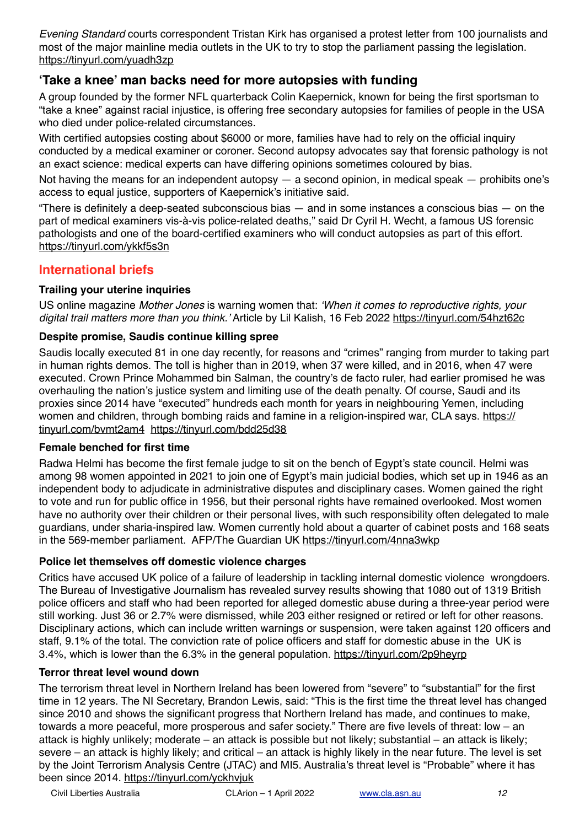*Evening Standard* courts correspondent Tristan Kirk has organised a protest letter from 100 journalists and most of the major mainline media outlets in the UK to try to stop the parliament passing the legislation. <https://tinyurl.com/yuadh3zp>

### **'Take a knee' man backs need for more autopsies with funding**

A group founded by the former NFL quarterback Colin Kaepernick, known for being the first sportsman to "take a knee" against racial injustice, is offering free secondary autopsies for families of people in the USA who died under police-related circumstances.

With certified autopsies costing about \$6000 or more, families have had to rely on the official inquiry conducted by a medical examiner or coroner. Second autopsy advocates say that forensic pathology is not an exact science: medical experts can have differing opinions sometimes coloured by bias.

Not having the means for an independent autopsy  $-$  a second opinion, in medical speak  $-$  prohibits one's access to equal justice, supporters of Kaepernick's initiative said.

"There is definitely a deep-seated subconscious bias — and in some instances a conscious bias — on the part of medical examiners vis-à-vis police-related deaths," said Dr Cyril H. Wecht, a famous US forensic pathologists and one of the board-certified examiners who will conduct autopsies as part of this effort. <https://tinyurl.com/ykkf5s3n>

### **International briefs**

#### **Trailing your uterine inquiries**

US online magazine *Mother Jones* is warning women that: *'When it comes to reproductive rights, your digital trail matters more than you think.'* Article by Lil Kalish, 16 Feb 2022<https://tinyurl.com/54hzt62c>

#### **Despite promise, Saudis continue killing spree**

Saudis locally executed 81 in one day recently, for reasons and "crimes" ranging from murder to taking part in human rights demos. The toll is higher than in 2019, when 37 were killed, and in 2016, when 47 were executed. Crown Prince Mohammed bin Salman, the country's de facto ruler, had earlier promised he was overhauling the nation's justice system and limiting use of the death penalty. Of course, Saudi and its proxies since 2014 have "executed" hundreds each month for years in neighbouring Yemen, including women and children, through bombing raids and famine in a religion-inspired war. CLA says, [https://](https://tinyurl.com/bvmt2am4) [tinyurl.com/bvmt2am4](https://tinyurl.com/bvmt2am4) <https://tinyurl.com/bdd25d38>

#### **Female benched for first time**

Radwa Helmi has become the first female judge to sit on the bench of Egypt's state council. Helmi was among 98 women appointed in 2021 to join one of Egypt's main judicial bodies, which set up in 1946 as an independent body to adjudicate in administrative disputes and disciplinary cases. Women gained the right to vote and run for public office in 1956, but their personal rights have remained overlooked. Most women have no authority over their children or their personal lives, with such responsibility often delegated to male guardians, under sharia-inspired law. Women currently hold about a quarter of cabinet posts and 168 seats in the 569-member parliament. AFP/The Guardian UK<https://tinyurl.com/4nna3wkp>

#### **Police let themselves off domestic violence charges**

Critics have accused UK police of a failure of leadership in tackling internal domestic violence wrongdoers. The Bureau of Investigative Journalism has revealed survey results showing that 1080 out of 1319 British police officers and staff who had been reported for alleged domestic abuse during a three-year period were still working. Just 36 or 2.7% were dismissed, while 203 either resigned or retired or left for other reasons. Disciplinary actions, which can include written warnings or suspension, were taken against 120 officers and staff, 9.1% of the total. The conviction rate of police officers and staff for domestic abuse in the UK is 3.4%, which is lower than the 6.3% in the general population. <https://tinyurl.com/2p9heyrp>

#### **Terror threat level wound down**

The terrorism threat level in Northern Ireland has been lowered from "severe" to "substantial" for the first time in 12 years. The NI Secretary, Brandon Lewis, said: "This is the first time the threat level has changed since 2010 and shows the significant progress that Northern Ireland has made, and continues to make, towards a more peaceful, more prosperous and safer society." There are five levels of threat: low – an attack is highly unlikely; moderate – an attack is possible but not likely; substantial – an attack is likely; severe – an attack is highly likely; and critical – an attack is highly likely in the near future. The level is set by the Joint Terrorism Analysis Centre (JTAC) and MI5. Australia's threat level is "Probable" where it has been since 2014. <https://tinyurl.com/yckhvjuk>